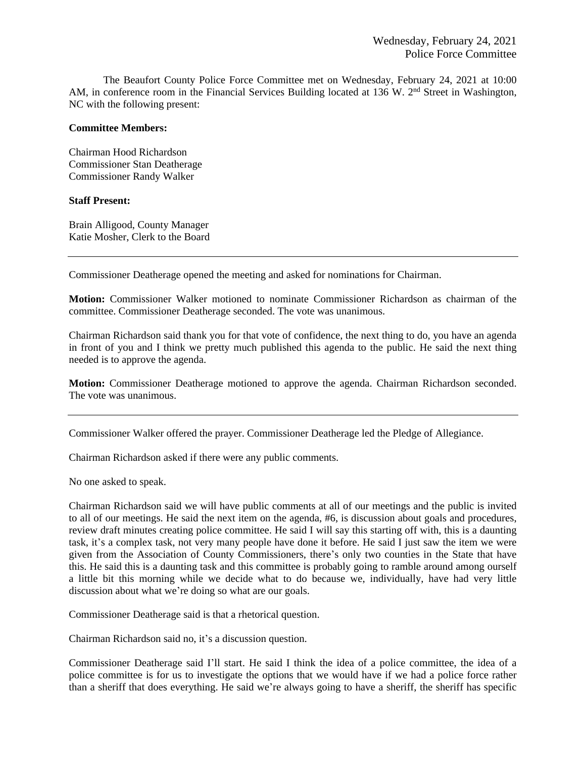The Beaufort County Police Force Committee met on Wednesday, February 24, 2021 at 10:00 AM, in conference room in the Financial Services Building located at 136 W. 2<sup>nd</sup> Street in Washington, NC with the following present:

## **Committee Members:**

Chairman Hood Richardson Commissioner Stan Deatherage Commissioner Randy Walker

## **Staff Present:**

Brain Alligood, County Manager Katie Mosher, Clerk to the Board

Commissioner Deatherage opened the meeting and asked for nominations for Chairman.

**Motion:** Commissioner Walker motioned to nominate Commissioner Richardson as chairman of the committee. Commissioner Deatherage seconded. The vote was unanimous.

Chairman Richardson said thank you for that vote of confidence, the next thing to do, you have an agenda in front of you and I think we pretty much published this agenda to the public. He said the next thing needed is to approve the agenda.

**Motion:** Commissioner Deatherage motioned to approve the agenda. Chairman Richardson seconded. The vote was unanimous.

Commissioner Walker offered the prayer. Commissioner Deatherage led the Pledge of Allegiance.

Chairman Richardson asked if there were any public comments.

No one asked to speak.

Chairman Richardson said we will have public comments at all of our meetings and the public is invited to all of our meetings. He said the next item on the agenda, #6, is discussion about goals and procedures, review draft minutes creating police committee. He said I will say this starting off with, this is a daunting task, it's a complex task, not very many people have done it before. He said I just saw the item we were given from the Association of County Commissioners, there's only two counties in the State that have this. He said this is a daunting task and this committee is probably going to ramble around among ourself a little bit this morning while we decide what to do because we, individually, have had very little discussion about what we're doing so what are our goals.

Commissioner Deatherage said is that a rhetorical question.

Chairman Richardson said no, it's a discussion question.

Commissioner Deatherage said I'll start. He said I think the idea of a police committee, the idea of a police committee is for us to investigate the options that we would have if we had a police force rather than a sheriff that does everything. He said we're always going to have a sheriff, the sheriff has specific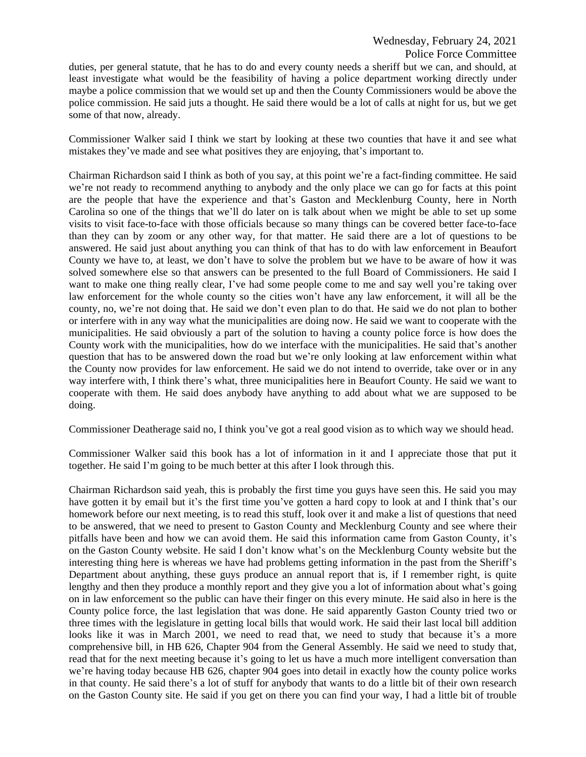duties, per general statute, that he has to do and every county needs a sheriff but we can, and should, at least investigate what would be the feasibility of having a police department working directly under maybe a police commission that we would set up and then the County Commissioners would be above the police commission. He said juts a thought. He said there would be a lot of calls at night for us, but we get some of that now, already.

Commissioner Walker said I think we start by looking at these two counties that have it and see what mistakes they've made and see what positives they are enjoying, that's important to.

Chairman Richardson said I think as both of you say, at this point we're a fact-finding committee. He said we're not ready to recommend anything to anybody and the only place we can go for facts at this point are the people that have the experience and that's Gaston and Mecklenburg County, here in North Carolina so one of the things that we'll do later on is talk about when we might be able to set up some visits to visit face-to-face with those officials because so many things can be covered better face-to-face than they can by zoom or any other way, for that matter. He said there are a lot of questions to be answered. He said just about anything you can think of that has to do with law enforcement in Beaufort County we have to, at least, we don't have to solve the problem but we have to be aware of how it was solved somewhere else so that answers can be presented to the full Board of Commissioners. He said I want to make one thing really clear, I've had some people come to me and say well you're taking over law enforcement for the whole county so the cities won't have any law enforcement, it will all be the county, no, we're not doing that. He said we don't even plan to do that. He said we do not plan to bother or interfere with in any way what the municipalities are doing now. He said we want to cooperate with the municipalities. He said obviously a part of the solution to having a county police force is how does the County work with the municipalities, how do we interface with the municipalities. He said that's another question that has to be answered down the road but we're only looking at law enforcement within what the County now provides for law enforcement. He said we do not intend to override, take over or in any way interfere with, I think there's what, three municipalities here in Beaufort County. He said we want to cooperate with them. He said does anybody have anything to add about what we are supposed to be doing.

Commissioner Deatherage said no, I think you've got a real good vision as to which way we should head.

Commissioner Walker said this book has a lot of information in it and I appreciate those that put it together. He said I'm going to be much better at this after I look through this.

Chairman Richardson said yeah, this is probably the first time you guys have seen this. He said you may have gotten it by email but it's the first time you've gotten a hard copy to look at and I think that's our homework before our next meeting, is to read this stuff, look over it and make a list of questions that need to be answered, that we need to present to Gaston County and Mecklenburg County and see where their pitfalls have been and how we can avoid them. He said this information came from Gaston County, it's on the Gaston County website. He said I don't know what's on the Mecklenburg County website but the interesting thing here is whereas we have had problems getting information in the past from the Sheriff's Department about anything, these guys produce an annual report that is, if I remember right, is quite lengthy and then they produce a monthly report and they give you a lot of information about what's going on in law enforcement so the public can have their finger on this every minute. He said also in here is the County police force, the last legislation that was done. He said apparently Gaston County tried two or three times with the legislature in getting local bills that would work. He said their last local bill addition looks like it was in March 2001, we need to read that, we need to study that because it's a more comprehensive bill, in HB 626, Chapter 904 from the General Assembly. He said we need to study that, read that for the next meeting because it's going to let us have a much more intelligent conversation than we're having today because HB 626, chapter 904 goes into detail in exactly how the county police works in that county. He said there's a lot of stuff for anybody that wants to do a little bit of their own research on the Gaston County site. He said if you get on there you can find your way, I had a little bit of trouble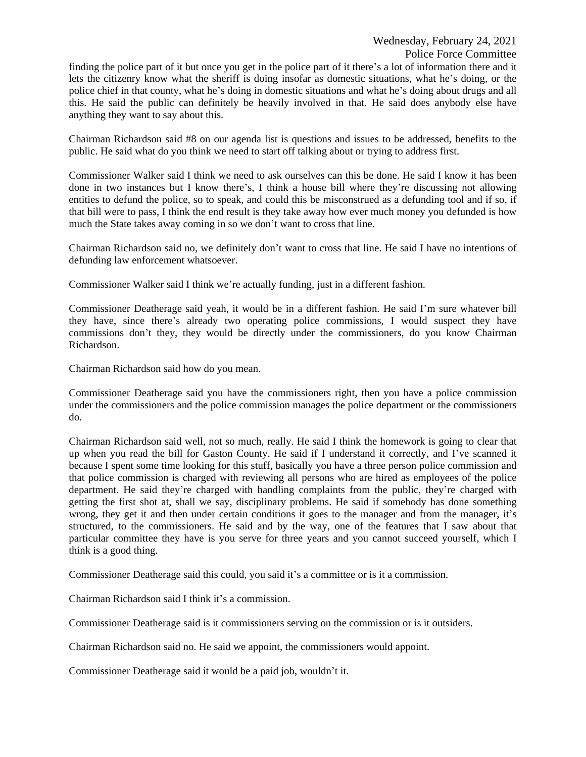finding the police part of it but once you get in the police part of it there's a lot of information there and it lets the citizenry know what the sheriff is doing insofar as domestic situations, what he's doing, or the police chief in that county, what he's doing in domestic situations and what he's doing about drugs and all this. He said the public can definitely be heavily involved in that. He said does anybody else have anything they want to say about this.

Chairman Richardson said #8 on our agenda list is questions and issues to be addressed, benefits to the public. He said what do you think we need to start off talking about or trying to address first.

Commissioner Walker said I think we need to ask ourselves can this be done. He said I know it has been done in two instances but I know there's, I think a house bill where they're discussing not allowing entities to defund the police, so to speak, and could this be misconstrued as a defunding tool and if so, if that bill were to pass, I think the end result is they take away how ever much money you defunded is how much the State takes away coming in so we don't want to cross that line.

Chairman Richardson said no, we definitely don't want to cross that line. He said I have no intentions of defunding law enforcement whatsoever.

Commissioner Walker said I think we're actually funding, just in a different fashion.

Commissioner Deatherage said yeah, it would be in a different fashion. He said I'm sure whatever bill they have, since there's already two operating police commissions, I would suspect they have commissions don't they, they would be directly under the commissioners, do you know Chairman Richardson.

Chairman Richardson said how do you mean.

Commissioner Deatherage said you have the commissioners right, then you have a police commission under the commissioners and the police commission manages the police department or the commissioners do.

Chairman Richardson said well, not so much, really. He said I think the homework is going to clear that up when you read the bill for Gaston County. He said if I understand it correctly, and I've scanned it because I spent some time looking for this stuff, basically you have a three person police commission and that police commission is charged with reviewing all persons who are hired as employees of the police department. He said they're charged with handling complaints from the public, they're charged with getting the first shot at, shall we say, disciplinary problems. He said if somebody has done something wrong, they get it and then under certain conditions it goes to the manager and from the manager, it's structured, to the commissioners. He said and by the way, one of the features that I saw about that particular committee they have is you serve for three years and you cannot succeed yourself, which I think is a good thing.

Commissioner Deatherage said this could, you said it's a committee or is it a commission.

Chairman Richardson said I think it's a commission.

Commissioner Deatherage said is it commissioners serving on the commission or is it outsiders.

Chairman Richardson said no. He said we appoint, the commissioners would appoint.

Commissioner Deatherage said it would be a paid job, wouldn't it.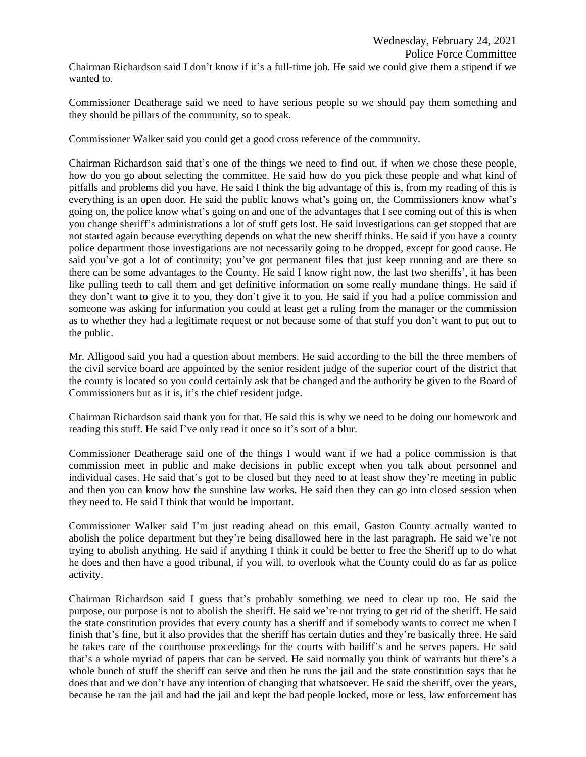Chairman Richardson said I don't know if it's a full-time job. He said we could give them a stipend if we wanted to.

Commissioner Deatherage said we need to have serious people so we should pay them something and they should be pillars of the community, so to speak.

Commissioner Walker said you could get a good cross reference of the community.

Chairman Richardson said that's one of the things we need to find out, if when we chose these people, how do you go about selecting the committee. He said how do you pick these people and what kind of pitfalls and problems did you have. He said I think the big advantage of this is, from my reading of this is everything is an open door. He said the public knows what's going on, the Commissioners know what's going on, the police know what's going on and one of the advantages that I see coming out of this is when you change sheriff's administrations a lot of stuff gets lost. He said investigations can get stopped that are not started again because everything depends on what the new sheriff thinks. He said if you have a county police department those investigations are not necessarily going to be dropped, except for good cause. He said you've got a lot of continuity; you've got permanent files that just keep running and are there so there can be some advantages to the County. He said I know right now, the last two sheriffs', it has been like pulling teeth to call them and get definitive information on some really mundane things. He said if they don't want to give it to you, they don't give it to you. He said if you had a police commission and someone was asking for information you could at least get a ruling from the manager or the commission as to whether they had a legitimate request or not because some of that stuff you don't want to put out to the public.

Mr. Alligood said you had a question about members. He said according to the bill the three members of the civil service board are appointed by the senior resident judge of the superior court of the district that the county is located so you could certainly ask that be changed and the authority be given to the Board of Commissioners but as it is, it's the chief resident judge.

Chairman Richardson said thank you for that. He said this is why we need to be doing our homework and reading this stuff. He said I've only read it once so it's sort of a blur.

Commissioner Deatherage said one of the things I would want if we had a police commission is that commission meet in public and make decisions in public except when you talk about personnel and individual cases. He said that's got to be closed but they need to at least show they're meeting in public and then you can know how the sunshine law works. He said then they can go into closed session when they need to. He said I think that would be important.

Commissioner Walker said I'm just reading ahead on this email, Gaston County actually wanted to abolish the police department but they're being disallowed here in the last paragraph. He said we're not trying to abolish anything. He said if anything I think it could be better to free the Sheriff up to do what he does and then have a good tribunal, if you will, to overlook what the County could do as far as police activity.

Chairman Richardson said I guess that's probably something we need to clear up too. He said the purpose, our purpose is not to abolish the sheriff. He said we're not trying to get rid of the sheriff. He said the state constitution provides that every county has a sheriff and if somebody wants to correct me when I finish that's fine, but it also provides that the sheriff has certain duties and they're basically three. He said he takes care of the courthouse proceedings for the courts with bailiff's and he serves papers. He said that's a whole myriad of papers that can be served. He said normally you think of warrants but there's a whole bunch of stuff the sheriff can serve and then he runs the jail and the state constitution says that he does that and we don't have any intention of changing that whatsoever. He said the sheriff, over the years, because he ran the jail and had the jail and kept the bad people locked, more or less, law enforcement has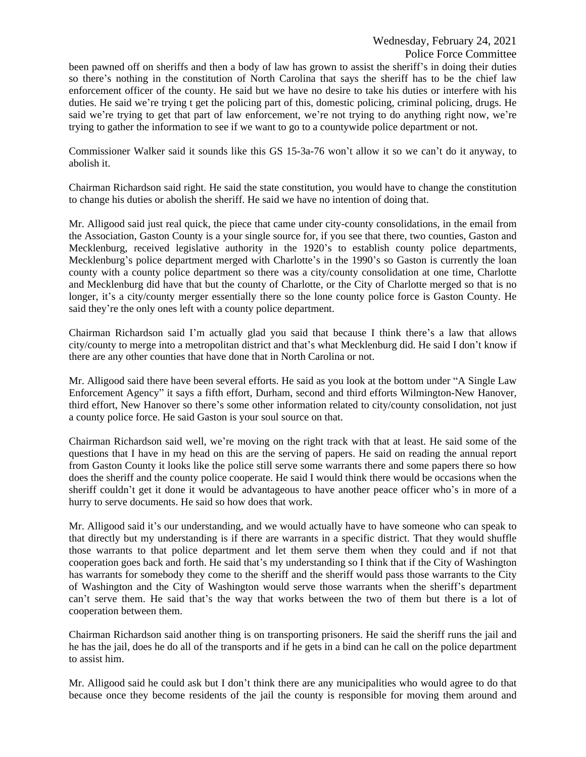been pawned off on sheriffs and then a body of law has grown to assist the sheriff's in doing their duties so there's nothing in the constitution of North Carolina that says the sheriff has to be the chief law enforcement officer of the county. He said but we have no desire to take his duties or interfere with his duties. He said we're trying t get the policing part of this, domestic policing, criminal policing, drugs. He said we're trying to get that part of law enforcement, we're not trying to do anything right now, we're trying to gather the information to see if we want to go to a countywide police department or not.

Commissioner Walker said it sounds like this GS 15-3a-76 won't allow it so we can't do it anyway, to abolish it.

Chairman Richardson said right. He said the state constitution, you would have to change the constitution to change his duties or abolish the sheriff. He said we have no intention of doing that.

Mr. Alligood said just real quick, the piece that came under city-county consolidations, in the email from the Association, Gaston County is a your single source for, if you see that there, two counties, Gaston and Mecklenburg, received legislative authority in the 1920's to establish county police departments, Mecklenburg's police department merged with Charlotte's in the 1990's so Gaston is currently the loan county with a county police department so there was a city/county consolidation at one time, Charlotte and Mecklenburg did have that but the county of Charlotte, or the City of Charlotte merged so that is no longer, it's a city/county merger essentially there so the lone county police force is Gaston County. He said they're the only ones left with a county police department.

Chairman Richardson said I'm actually glad you said that because I think there's a law that allows city/county to merge into a metropolitan district and that's what Mecklenburg did. He said I don't know if there are any other counties that have done that in North Carolina or not.

Mr. Alligood said there have been several efforts. He said as you look at the bottom under "A Single Law Enforcement Agency" it says a fifth effort, Durham, second and third efforts Wilmington-New Hanover, third effort, New Hanover so there's some other information related to city/county consolidation, not just a county police force. He said Gaston is your soul source on that.

Chairman Richardson said well, we're moving on the right track with that at least. He said some of the questions that I have in my head on this are the serving of papers. He said on reading the annual report from Gaston County it looks like the police still serve some warrants there and some papers there so how does the sheriff and the county police cooperate. He said I would think there would be occasions when the sheriff couldn't get it done it would be advantageous to have another peace officer who's in more of a hurry to serve documents. He said so how does that work.

Mr. Alligood said it's our understanding, and we would actually have to have someone who can speak to that directly but my understanding is if there are warrants in a specific district. That they would shuffle those warrants to that police department and let them serve them when they could and if not that cooperation goes back and forth. He said that's my understanding so I think that if the City of Washington has warrants for somebody they come to the sheriff and the sheriff would pass those warrants to the City of Washington and the City of Washington would serve those warrants when the sheriff's department can't serve them. He said that's the way that works between the two of them but there is a lot of cooperation between them.

Chairman Richardson said another thing is on transporting prisoners. He said the sheriff runs the jail and he has the jail, does he do all of the transports and if he gets in a bind can he call on the police department to assist him.

Mr. Alligood said he could ask but I don't think there are any municipalities who would agree to do that because once they become residents of the jail the county is responsible for moving them around and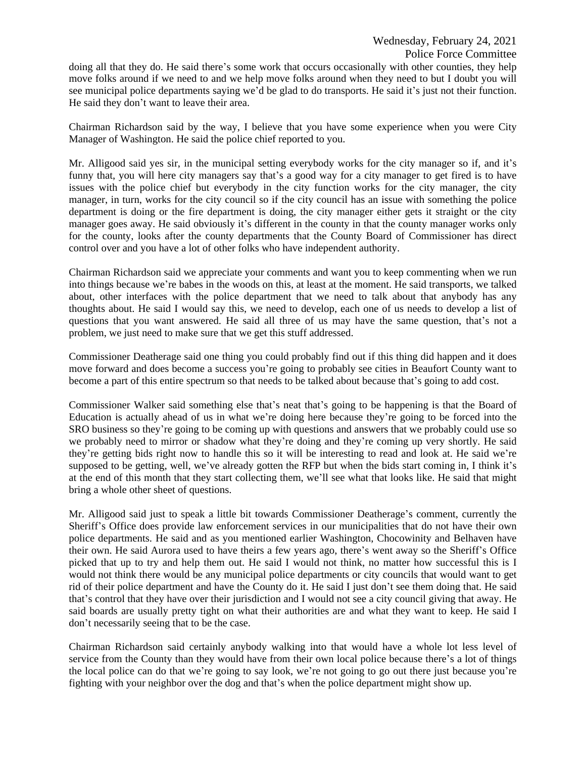doing all that they do. He said there's some work that occurs occasionally with other counties, they help move folks around if we need to and we help move folks around when they need to but I doubt you will see municipal police departments saying we'd be glad to do transports. He said it's just not their function. He said they don't want to leave their area.

Chairman Richardson said by the way, I believe that you have some experience when you were City Manager of Washington. He said the police chief reported to you.

Mr. Alligood said yes sir, in the municipal setting everybody works for the city manager so if, and it's funny that, you will here city managers say that's a good way for a city manager to get fired is to have issues with the police chief but everybody in the city function works for the city manager, the city manager, in turn, works for the city council so if the city council has an issue with something the police department is doing or the fire department is doing, the city manager either gets it straight or the city manager goes away. He said obviously it's different in the county in that the county manager works only for the county, looks after the county departments that the County Board of Commissioner has direct control over and you have a lot of other folks who have independent authority.

Chairman Richardson said we appreciate your comments and want you to keep commenting when we run into things because we're babes in the woods on this, at least at the moment. He said transports, we talked about, other interfaces with the police department that we need to talk about that anybody has any thoughts about. He said I would say this, we need to develop, each one of us needs to develop a list of questions that you want answered. He said all three of us may have the same question, that's not a problem, we just need to make sure that we get this stuff addressed.

Commissioner Deatherage said one thing you could probably find out if this thing did happen and it does move forward and does become a success you're going to probably see cities in Beaufort County want to become a part of this entire spectrum so that needs to be talked about because that's going to add cost.

Commissioner Walker said something else that's neat that's going to be happening is that the Board of Education is actually ahead of us in what we're doing here because they're going to be forced into the SRO business so they're going to be coming up with questions and answers that we probably could use so we probably need to mirror or shadow what they're doing and they're coming up very shortly. He said they're getting bids right now to handle this so it will be interesting to read and look at. He said we're supposed to be getting, well, we've already gotten the RFP but when the bids start coming in, I think it's at the end of this month that they start collecting them, we'll see what that looks like. He said that might bring a whole other sheet of questions.

Mr. Alligood said just to speak a little bit towards Commissioner Deatherage's comment, currently the Sheriff's Office does provide law enforcement services in our municipalities that do not have their own police departments. He said and as you mentioned earlier Washington, Chocowinity and Belhaven have their own. He said Aurora used to have theirs a few years ago, there's went away so the Sheriff's Office picked that up to try and help them out. He said I would not think, no matter how successful this is I would not think there would be any municipal police departments or city councils that would want to get rid of their police department and have the County do it. He said I just don't see them doing that. He said that's control that they have over their jurisdiction and I would not see a city council giving that away. He said boards are usually pretty tight on what their authorities are and what they want to keep. He said I don't necessarily seeing that to be the case.

Chairman Richardson said certainly anybody walking into that would have a whole lot less level of service from the County than they would have from their own local police because there's a lot of things the local police can do that we're going to say look, we're not going to go out there just because you're fighting with your neighbor over the dog and that's when the police department might show up.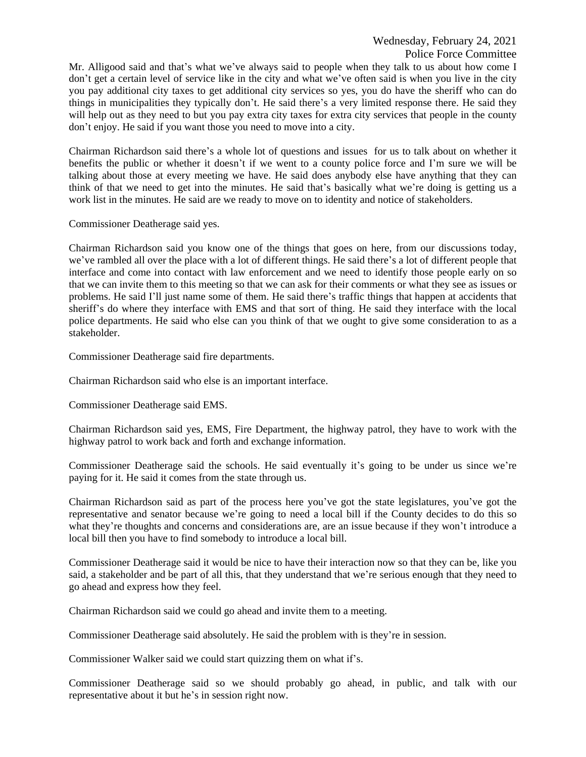## Wednesday, February 24, 2021 Police Force Committee

Mr. Alligood said and that's what we've always said to people when they talk to us about how come I don't get a certain level of service like in the city and what we've often said is when you live in the city you pay additional city taxes to get additional city services so yes, you do have the sheriff who can do things in municipalities they typically don't. He said there's a very limited response there. He said they will help out as they need to but you pay extra city taxes for extra city services that people in the county don't enjoy. He said if you want those you need to move into a city.

Chairman Richardson said there's a whole lot of questions and issues for us to talk about on whether it benefits the public or whether it doesn't if we went to a county police force and I'm sure we will be talking about those at every meeting we have. He said does anybody else have anything that they can think of that we need to get into the minutes. He said that's basically what we're doing is getting us a work list in the minutes. He said are we ready to move on to identity and notice of stakeholders.

Commissioner Deatherage said yes.

Chairman Richardson said you know one of the things that goes on here, from our discussions today, we've rambled all over the place with a lot of different things. He said there's a lot of different people that interface and come into contact with law enforcement and we need to identify those people early on so that we can invite them to this meeting so that we can ask for their comments or what they see as issues or problems. He said I'll just name some of them. He said there's traffic things that happen at accidents that sheriff's do where they interface with EMS and that sort of thing. He said they interface with the local police departments. He said who else can you think of that we ought to give some consideration to as a stakeholder.

Commissioner Deatherage said fire departments.

Chairman Richardson said who else is an important interface.

Commissioner Deatherage said EMS.

Chairman Richardson said yes, EMS, Fire Department, the highway patrol, they have to work with the highway patrol to work back and forth and exchange information.

Commissioner Deatherage said the schools. He said eventually it's going to be under us since we're paying for it. He said it comes from the state through us.

Chairman Richardson said as part of the process here you've got the state legislatures, you've got the representative and senator because we're going to need a local bill if the County decides to do this so what they're thoughts and concerns and considerations are, are an issue because if they won't introduce a local bill then you have to find somebody to introduce a local bill.

Commissioner Deatherage said it would be nice to have their interaction now so that they can be, like you said, a stakeholder and be part of all this, that they understand that we're serious enough that they need to go ahead and express how they feel.

Chairman Richardson said we could go ahead and invite them to a meeting.

Commissioner Deatherage said absolutely. He said the problem with is they're in session.

Commissioner Walker said we could start quizzing them on what if's.

Commissioner Deatherage said so we should probably go ahead, in public, and talk with our representative about it but he's in session right now.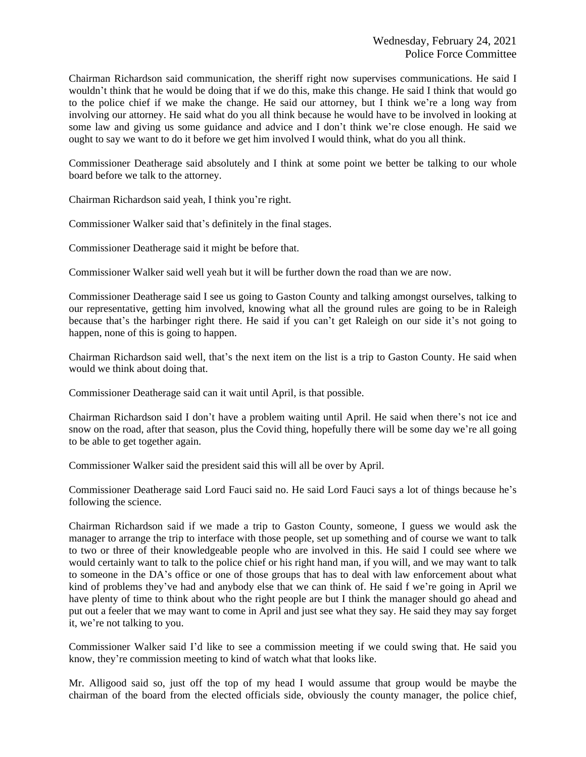Chairman Richardson said communication, the sheriff right now supervises communications. He said I wouldn't think that he would be doing that if we do this, make this change. He said I think that would go to the police chief if we make the change. He said our attorney, but I think we're a long way from involving our attorney. He said what do you all think because he would have to be involved in looking at some law and giving us some guidance and advice and I don't think we're close enough. He said we ought to say we want to do it before we get him involved I would think, what do you all think.

Commissioner Deatherage said absolutely and I think at some point we better be talking to our whole board before we talk to the attorney.

Chairman Richardson said yeah, I think you're right.

Commissioner Walker said that's definitely in the final stages.

Commissioner Deatherage said it might be before that.

Commissioner Walker said well yeah but it will be further down the road than we are now.

Commissioner Deatherage said I see us going to Gaston County and talking amongst ourselves, talking to our representative, getting him involved, knowing what all the ground rules are going to be in Raleigh because that's the harbinger right there. He said if you can't get Raleigh on our side it's not going to happen, none of this is going to happen.

Chairman Richardson said well, that's the next item on the list is a trip to Gaston County. He said when would we think about doing that.

Commissioner Deatherage said can it wait until April, is that possible.

Chairman Richardson said I don't have a problem waiting until April. He said when there's not ice and snow on the road, after that season, plus the Covid thing, hopefully there will be some day we're all going to be able to get together again.

Commissioner Walker said the president said this will all be over by April.

Commissioner Deatherage said Lord Fauci said no. He said Lord Fauci says a lot of things because he's following the science.

Chairman Richardson said if we made a trip to Gaston County, someone, I guess we would ask the manager to arrange the trip to interface with those people, set up something and of course we want to talk to two or three of their knowledgeable people who are involved in this. He said I could see where we would certainly want to talk to the police chief or his right hand man, if you will, and we may want to talk to someone in the DA's office or one of those groups that has to deal with law enforcement about what kind of problems they've had and anybody else that we can think of. He said f we're going in April we have plenty of time to think about who the right people are but I think the manager should go ahead and put out a feeler that we may want to come in April and just see what they say. He said they may say forget it, we're not talking to you.

Commissioner Walker said I'd like to see a commission meeting if we could swing that. He said you know, they're commission meeting to kind of watch what that looks like.

Mr. Alligood said so, just off the top of my head I would assume that group would be maybe the chairman of the board from the elected officials side, obviously the county manager, the police chief,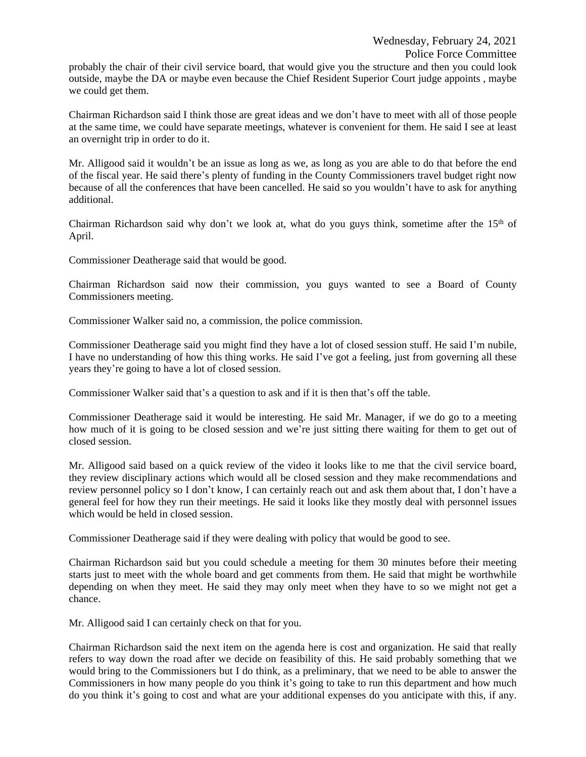probably the chair of their civil service board, that would give you the structure and then you could look outside, maybe the DA or maybe even because the Chief Resident Superior Court judge appoints , maybe we could get them.

Chairman Richardson said I think those are great ideas and we don't have to meet with all of those people at the same time, we could have separate meetings, whatever is convenient for them. He said I see at least an overnight trip in order to do it.

Mr. Alligood said it wouldn't be an issue as long as we, as long as you are able to do that before the end of the fiscal year. He said there's plenty of funding in the County Commissioners travel budget right now because of all the conferences that have been cancelled. He said so you wouldn't have to ask for anything additional.

Chairman Richardson said why don't we look at, what do you guys think, sometime after the  $15<sup>th</sup>$  of April.

Commissioner Deatherage said that would be good.

Chairman Richardson said now their commission, you guys wanted to see a Board of County Commissioners meeting.

Commissioner Walker said no, a commission, the police commission.

Commissioner Deatherage said you might find they have a lot of closed session stuff. He said I'm nubile, I have no understanding of how this thing works. He said I've got a feeling, just from governing all these years they're going to have a lot of closed session.

Commissioner Walker said that's a question to ask and if it is then that's off the table.

Commissioner Deatherage said it would be interesting. He said Mr. Manager, if we do go to a meeting how much of it is going to be closed session and we're just sitting there waiting for them to get out of closed session.

Mr. Alligood said based on a quick review of the video it looks like to me that the civil service board, they review disciplinary actions which would all be closed session and they make recommendations and review personnel policy so I don't know, I can certainly reach out and ask them about that, I don't have a general feel for how they run their meetings. He said it looks like they mostly deal with personnel issues which would be held in closed session.

Commissioner Deatherage said if they were dealing with policy that would be good to see.

Chairman Richardson said but you could schedule a meeting for them 30 minutes before their meeting starts just to meet with the whole board and get comments from them. He said that might be worthwhile depending on when they meet. He said they may only meet when they have to so we might not get a chance.

Mr. Alligood said I can certainly check on that for you.

Chairman Richardson said the next item on the agenda here is cost and organization. He said that really refers to way down the road after we decide on feasibility of this. He said probably something that we would bring to the Commissioners but I do think, as a preliminary, that we need to be able to answer the Commissioners in how many people do you think it's going to take to run this department and how much do you think it's going to cost and what are your additional expenses do you anticipate with this, if any.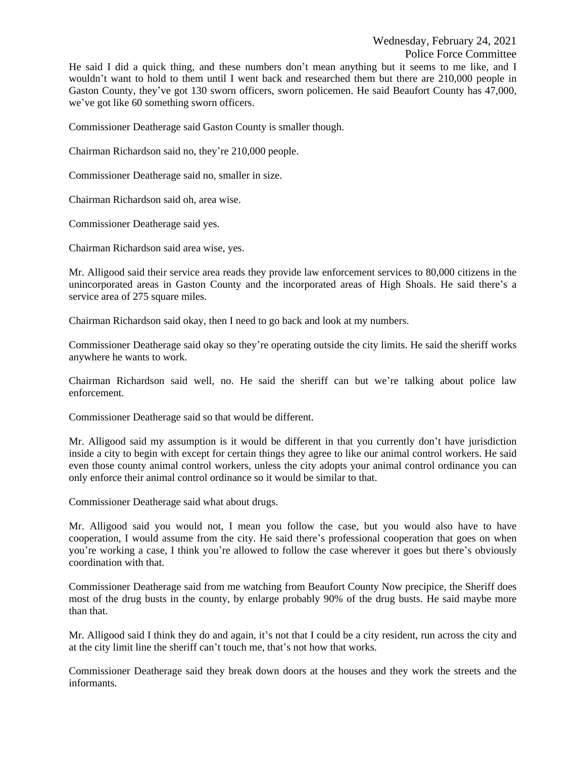Commissioner Deatherage said Gaston County is smaller though.

Chairman Richardson said no, they're 210,000 people.

Commissioner Deatherage said no, smaller in size.

Chairman Richardson said oh, area wise.

Commissioner Deatherage said yes.

Chairman Richardson said area wise, yes.

Mr. Alligood said their service area reads they provide law enforcement services to 80,000 citizens in the unincorporated areas in Gaston County and the incorporated areas of High Shoals. He said there's a service area of 275 square miles.

Chairman Richardson said okay, then I need to go back and look at my numbers.

Commissioner Deatherage said okay so they're operating outside the city limits. He said the sheriff works anywhere he wants to work.

Chairman Richardson said well, no. He said the sheriff can but we're talking about police law enforcement.

Commissioner Deatherage said so that would be different.

Mr. Alligood said my assumption is it would be different in that you currently don't have jurisdiction inside a city to begin with except for certain things they agree to like our animal control workers. He said even those county animal control workers, unless the city adopts your animal control ordinance you can only enforce their animal control ordinance so it would be similar to that.

Commissioner Deatherage said what about drugs.

Mr. Alligood said you would not, I mean you follow the case, but you would also have to have cooperation, I would assume from the city. He said there's professional cooperation that goes on when you're working a case, I think you're allowed to follow the case wherever it goes but there's obviously coordination with that.

Commissioner Deatherage said from me watching from Beaufort County Now precipice, the Sheriff does most of the drug busts in the county, by enlarge probably 90% of the drug busts. He said maybe more than that.

Mr. Alligood said I think they do and again, it's not that I could be a city resident, run across the city and at the city limit line the sheriff can't touch me, that's not how that works.

Commissioner Deatherage said they break down doors at the houses and they work the streets and the informants.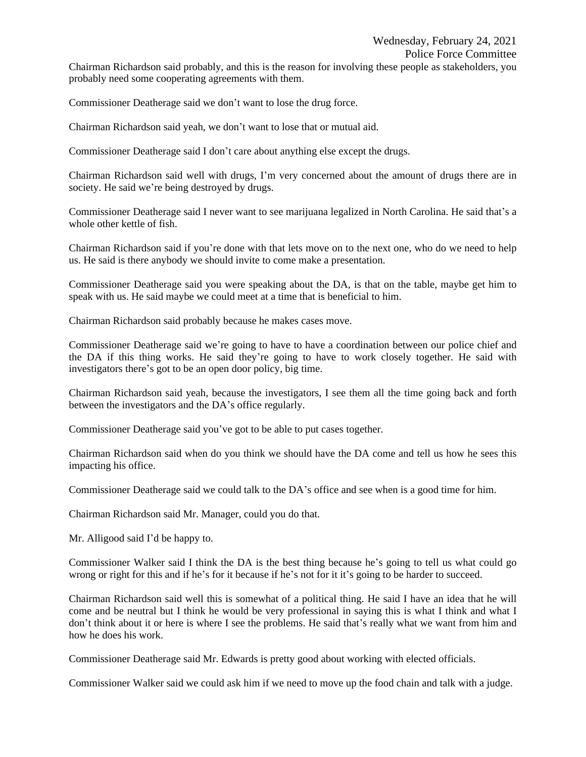Chairman Richardson said probably, and this is the reason for involving these people as stakeholders, you probably need some cooperating agreements with them.

Commissioner Deatherage said we don't want to lose the drug force.

Chairman Richardson said yeah, we don't want to lose that or mutual aid.

Commissioner Deatherage said I don't care about anything else except the drugs.

Chairman Richardson said well with drugs, I'm very concerned about the amount of drugs there are in society. He said we're being destroyed by drugs.

Commissioner Deatherage said I never want to see marijuana legalized in North Carolina. He said that's a whole other kettle of fish.

Chairman Richardson said if you're done with that lets move on to the next one, who do we need to help us. He said is there anybody we should invite to come make a presentation.

Commissioner Deatherage said you were speaking about the DA, is that on the table, maybe get him to speak with us. He said maybe we could meet at a time that is beneficial to him.

Chairman Richardson said probably because he makes cases move.

Commissioner Deatherage said we're going to have to have a coordination between our police chief and the DA if this thing works. He said they're going to have to work closely together. He said with investigators there's got to be an open door policy, big time.

Chairman Richardson said yeah, because the investigators, I see them all the time going back and forth between the investigators and the DA's office regularly.

Commissioner Deatherage said you've got to be able to put cases together.

Chairman Richardson said when do you think we should have the DA come and tell us how he sees this impacting his office.

Commissioner Deatherage said we could talk to the DA's office and see when is a good time for him.

Chairman Richardson said Mr. Manager, could you do that.

Mr. Alligood said I'd be happy to.

Commissioner Walker said I think the DA is the best thing because he's going to tell us what could go wrong or right for this and if he's for it because if he's not for it it's going to be harder to succeed.

Chairman Richardson said well this is somewhat of a political thing. He said I have an idea that he will come and be neutral but I think he would be very professional in saying this is what I think and what I don't think about it or here is where I see the problems. He said that's really what we want from him and how he does his work.

Commissioner Deatherage said Mr. Edwards is pretty good about working with elected officials.

Commissioner Walker said we could ask him if we need to move up the food chain and talk with a judge.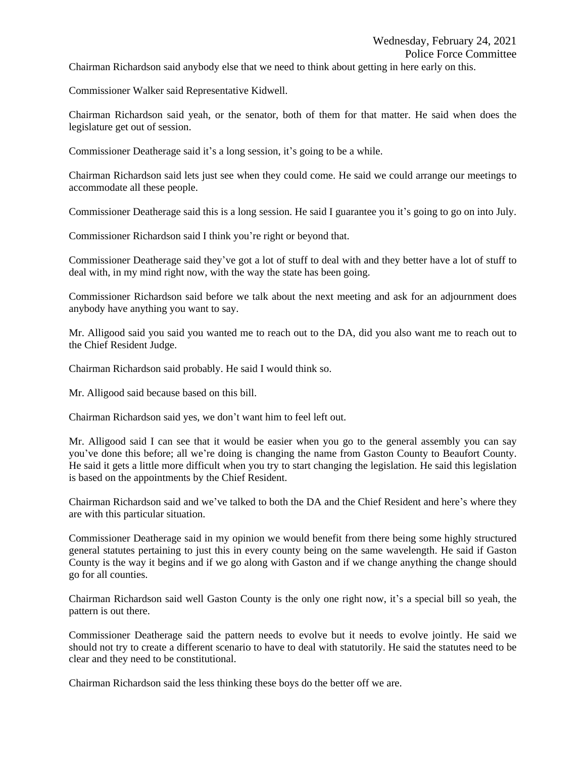Chairman Richardson said anybody else that we need to think about getting in here early on this.

Commissioner Walker said Representative Kidwell.

Chairman Richardson said yeah, or the senator, both of them for that matter. He said when does the legislature get out of session.

Commissioner Deatherage said it's a long session, it's going to be a while.

Chairman Richardson said lets just see when they could come. He said we could arrange our meetings to accommodate all these people.

Commissioner Deatherage said this is a long session. He said I guarantee you it's going to go on into July.

Commissioner Richardson said I think you're right or beyond that.

Commissioner Deatherage said they've got a lot of stuff to deal with and they better have a lot of stuff to deal with, in my mind right now, with the way the state has been going.

Commissioner Richardson said before we talk about the next meeting and ask for an adjournment does anybody have anything you want to say.

Mr. Alligood said you said you wanted me to reach out to the DA, did you also want me to reach out to the Chief Resident Judge.

Chairman Richardson said probably. He said I would think so.

Mr. Alligood said because based on this bill.

Chairman Richardson said yes, we don't want him to feel left out.

Mr. Alligood said I can see that it would be easier when you go to the general assembly you can say you've done this before; all we're doing is changing the name from Gaston County to Beaufort County. He said it gets a little more difficult when you try to start changing the legislation. He said this legislation is based on the appointments by the Chief Resident.

Chairman Richardson said and we've talked to both the DA and the Chief Resident and here's where they are with this particular situation.

Commissioner Deatherage said in my opinion we would benefit from there being some highly structured general statutes pertaining to just this in every county being on the same wavelength. He said if Gaston County is the way it begins and if we go along with Gaston and if we change anything the change should go for all counties.

Chairman Richardson said well Gaston County is the only one right now, it's a special bill so yeah, the pattern is out there.

Commissioner Deatherage said the pattern needs to evolve but it needs to evolve jointly. He said we should not try to create a different scenario to have to deal with statutorily. He said the statutes need to be clear and they need to be constitutional.

Chairman Richardson said the less thinking these boys do the better off we are.